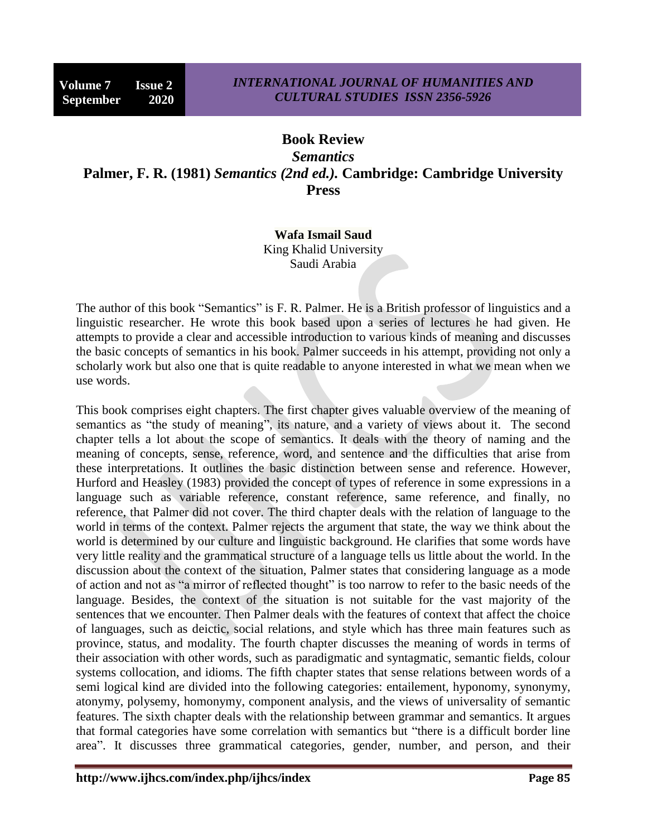## **Book Review**

*Semantics* **Palmer, F. R. (1981)** *Semantics (2nd ed.).* **Cambridge: Cambridge University Press**

## **Wafa Ismail Saud**

King Khalid University Saudi Arabia

The author of this book "Semantics" is F. R. Palmer. He is a British professor of linguistics and a linguistic researcher. He wrote this book based upon a series of lectures he had given. He attempts to provide a clear and accessible introduction to various kinds of meaning and discusses the basic concepts of semantics in his book. Palmer succeeds in his attempt, providing not only a scholarly work but also one that is quite readable to anyone interested in what we mean when we use words.

This book comprises eight chapters. The first chapter gives valuable overview of the meaning of semantics as "the study of meaning", its nature, and a variety of views about it. The second chapter tells a lot about the scope of semantics. It deals with the theory of naming and the meaning of concepts, sense, reference, word, and sentence and the difficulties that arise from these interpretations. It outlines the basic distinction between sense and reference. However, Hurford and Heasley (1983) provided the concept of types of reference in some expressions in a language such as variable reference, constant reference, same reference, and finally, no reference, that Palmer did not cover. The third chapter deals with the relation of language to the world in terms of the context. Palmer rejects the argument that state, the way we think about the world is determined by our culture and linguistic background. He clarifies that some words have very little reality and the grammatical structure of a language tells us little about the world. In the discussion about the context of the situation, Palmer states that considering language as a mode of action and not as "a mirror of reflected thought" is too narrow to refer to the basic needs of the language. Besides, the context of the situation is not suitable for the vast majority of the sentences that we encounter. Then Palmer deals with the features of context that affect the choice of languages, such as deictic, social relations, and style which has three main features such as province, status, and modality. The fourth chapter discusses the meaning of words in terms of their association with other words, such as paradigmatic and syntagmatic, semantic fields, colour systems collocation, and idioms. The fifth chapter states that sense relations between words of a semi logical kind are divided into the following categories: entailement, hyponomy, synonymy, atonymy, polysemy, homonymy, component analysis, and the views of universality of semantic features. The sixth chapter deals with the relationship between grammar and semantics. It argues that formal categories have some correlation with semantics but "there is a difficult border line area". It discusses three grammatical categories, gender, number, and person, and their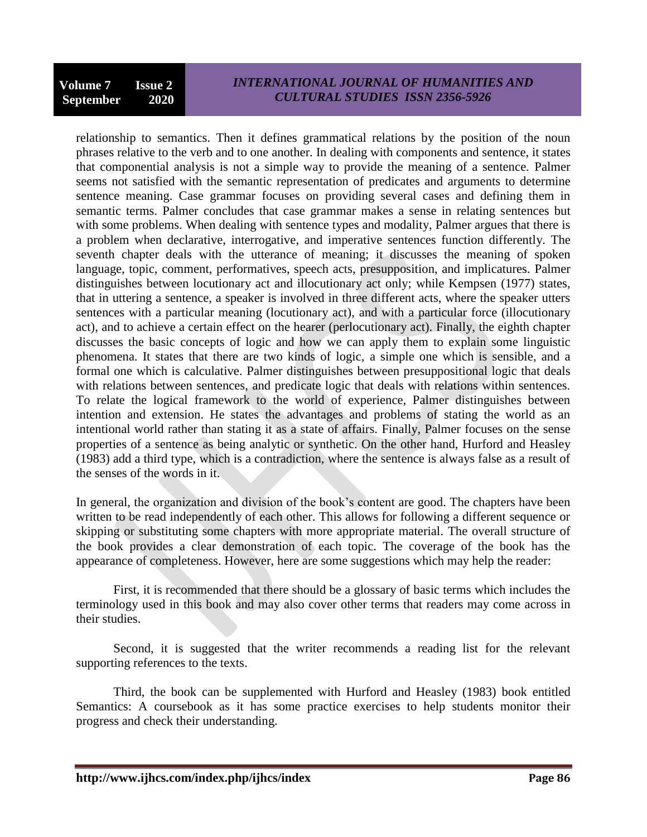relationship to semantics. Then it defines grammatical relations by the position of the noun phrases relative to the verb and to one another. In dealing with components and sentence, it states that componential analysis is not a simple way to provide the meaning of a sentence. Palmer seems not satisfied with the semantic representation of predicates and arguments to determine sentence meaning. Case grammar focuses on providing several cases and defining them in semantic terms. Palmer concludes that case grammar makes a sense in relating sentences but with some problems. When dealing with sentence types and modality, Palmer argues that there is a problem when declarative, interrogative, and imperative sentences function differently. The seventh chapter deals with the utterance of meaning; it discusses the meaning of spoken language, topic, comment, performatives, speech acts, presupposition, and implicatures. Palmer distinguishes between locutionary act and illocutionary act only; while Kempsen (1977) states, that in uttering a sentence, a speaker is involved in three different acts, where the speaker utters sentences with a particular meaning (locutionary act), and with a particular force (illocutionary act), and to achieve a certain effect on the hearer (perlocutionary act). Finally, the eighth chapter discusses the basic concepts of logic and how we can apply them to explain some linguistic phenomena. It states that there are two kinds of logic, a simple one which is sensible, and a formal one which is calculative. Palmer distinguishes between presuppositional logic that deals with relations between sentences, and predicate logic that deals with relations within sentences. To relate the logical framework to the world of experience, Palmer distinguishes between intention and extension. He states the advantages and problems of stating the world as an intentional world rather than stating it as a state of affairs. Finally, Palmer focuses on the sense properties of a sentence as being analytic or synthetic. On the other hand, Hurford and Heasley (1983) add a third type, which is a contradiction, where the sentence is always false as a result of the senses of the words in it.

In general, the organization and division of the book's content are good. The chapters have been written to be read independently of each other. This allows for following a different sequence or skipping or substituting some chapters with more appropriate material. The overall structure of the book provides a clear demonstration of each topic. The coverage of the book has the appearance of completeness. However, here are some suggestions which may help the reader:

First, it is recommended that there should be a glossary of basic terms which includes the terminology used in this book and may also cover other terms that readers may come across in their studies.

Second, it is suggested that the writer recommends a reading list for the relevant supporting references to the texts.

Third, the book can be supplemented with Hurford and Heasley (1983) book entitled Semantics: A coursebook as it has some practice exercises to help students monitor their progress and check their understanding.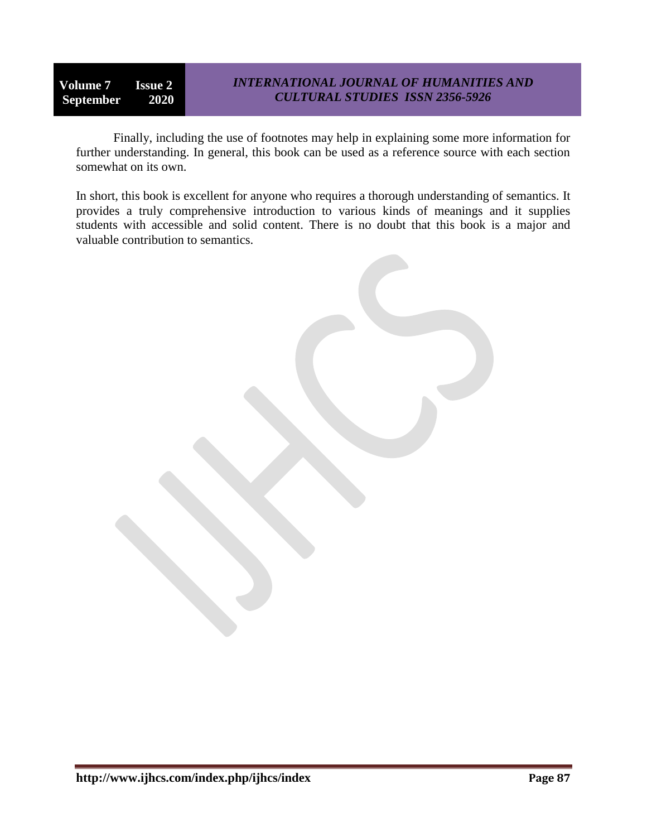**Volume 7 Issue 2 September 2020**

Finally, including the use of footnotes may help in explaining some more information for further understanding. In general, this book can be used as a reference source with each section somewhat on its own.

In short, this book is excellent for anyone who requires a thorough understanding of semantics. It provides a truly comprehensive introduction to various kinds of meanings and it supplies students with accessible and solid content. There is no doubt that this book is a major and valuable contribution to semantics.